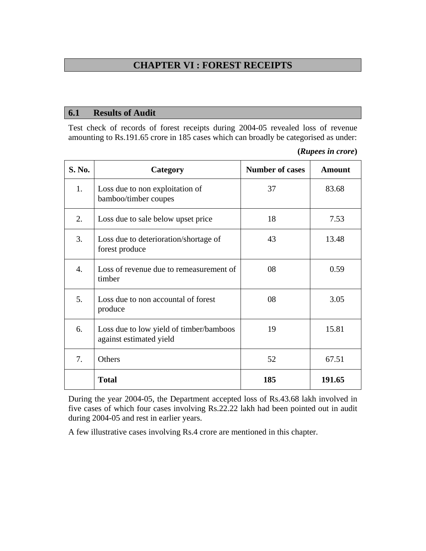# **CHAPTER VI : FOREST RECEIPTS**

#### **6.1 Results of Audit**

Test check of records of forest receipts during 2004-05 revealed loss of revenue amounting to Rs.191.65 crore in 185 cases which can broadly be categorised as under:

| (Rupees in crore) |  |  |
|-------------------|--|--|
|-------------------|--|--|

| S. No.           | Category                                                           | <b>Number of cases</b> | <b>Amount</b> |  |
|------------------|--------------------------------------------------------------------|------------------------|---------------|--|
| 1.               | Loss due to non exploitation of<br>bamboo/timber coupes            | 37                     | 83.68         |  |
| 2.               | Loss due to sale below upset price                                 | 18                     | 7.53          |  |
| 3.               | Loss due to deterioration/shortage of<br>forest produce            | 43                     | 13.48         |  |
| $\overline{4}$ . | Loss of revenue due to remeasurement of<br>timber                  | 08                     | 0.59          |  |
| 5.               | Loss due to non accountal of forest<br>produce                     | 08                     | 3.05          |  |
| 6.               | Loss due to low yield of timber/bamboos<br>against estimated yield | 19                     | 15.81         |  |
| 7.               | Others                                                             | 52                     | 67.51         |  |
|                  | <b>Total</b>                                                       | 185                    | 191.65        |  |

During the year 2004-05, the Department accepted loss of Rs.43.68 lakh involved in five cases of which four cases involving Rs.22.22 lakh had been pointed out in audit during 2004-05 and rest in earlier years.

A few illustrative cases involving Rs.4 crore are mentioned in this chapter.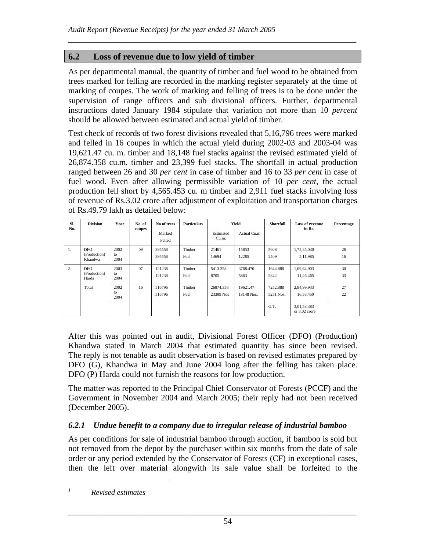## **6.2 Loss of revenue due to low yield of timber**

As per departmental manual, the quantity of timber and fuel wood to be obtained from trees marked for felling are recorded in the marking register separately at the time of marking of coupes. The work of marking and felling of trees is to be done under the supervision of range officers and sub divisional officers. Further, departmental instructions dated January 1984 stipulate that variation not more than 10 *percent* should be allowed between estimated and actual yield of timber.

\_\_\_\_\_\_\_\_\_\_\_\_\_\_\_\_\_\_\_\_\_\_\_\_\_\_\_\_\_\_\_\_\_\_\_\_\_\_\_\_\_\_\_\_\_\_\_\_\_\_\_\_\_\_\_\_\_\_\_\_\_\_\_\_\_\_\_\_\_

Test check of records of two forest divisions revealed that 5,16,796 trees were marked and felled in 16 coupes in which the actual yield during 2002-03 and 2003-04 was 19,621.47 cu. m. timber and 18,148 fuel stacks against the revised estimated yield of 26,874.358 cu.m. timber and 23,399 fuel stacks. The shortfall in actual production ranged between 26 and 30 *per cent* in case of timber and 16 to 33 *per cent* in case of fuel wood. Even after allowing permissible variation of 10 *per cent,* the actual production fell short by 4,565.453 cu. m timber and 2,911 fuel stacks involving loss of revenue of Rs.3.02 crore after adjustment of exploitation and transportation charges of Rs.49.79 lakh as detailed below:

| SI.<br>No. | <b>Division</b>                       | Year               | No. of<br>coupes | No of trees<br>Marked<br>Felled | <b>Particulars</b> | Yield                         |                        | Shortfall             | Loss of revenue<br>in Rs.    | Percentage |
|------------|---------------------------------------|--------------------|------------------|---------------------------------|--------------------|-------------------------------|------------------------|-----------------------|------------------------------|------------|
|            |                                       |                    |                  |                                 |                    |                               | Estimated<br>Cu.m.     | Actual Cu.m           |                              |            |
| 1.         | <b>DFO</b><br>(Production)<br>Khandwa | 2002<br>to<br>2004 | 09               | 395558<br>395558                | Timber<br>Fuel     | $21461$ <sup>1</sup><br>14694 | 15853<br>12285         | 5608<br>2409          | 1,75,35,030<br>5,11,985      | 26<br>16   |
| 2.         | <b>DFO</b><br>(Production)<br>Harda   | 2003<br>to<br>2004 | 07               | 121238<br>121238                | Timber<br>Fuel     | 5413.358<br>8705              | 3768.470<br>5863       | 1644.888<br>2842      | 1,09,64,903<br>11.46.465     | 30<br>33   |
|            | Total                                 | 2002<br>to<br>2004 | 16               | 516796<br>516796                | Timber<br>Fuel     | 26874.358<br>23399 Nos        | 19621.47<br>18148 Nos. | 7252.888<br>5251 Nos. | 2,84,99,933<br>16,58,450     | 27<br>22   |
|            |                                       |                    |                  |                                 |                    |                               |                        | G.T.                  | 3,01,58,383<br>or 3.02 crore |            |

After this was pointed out in audit, Divisional Forest Officer (DFO) (Production) Khandwa stated in March 2004 that estimated quantity has since been revised. The reply is not tenable as audit observation is based on revised estimates prepared by DFO (G), Khandwa in May and June 2004 long after the felling has taken place. DFO (P) Harda could not furnish the reasons for low production.

The matter was reported to the Principal Chief Conservator of Forests (PCCF) and the Government in November 2004 and March 2005; their reply had not been received (December 2005).

### *6.2.1 Undue benefit to a company due to irregular release of industrial bamboo*

As per conditions for sale of industrial bamboo through auction, if bamboo is sold but not removed from the depot by the purchaser within six months from the date of sale order or any period extended by the Conservator of Forests (CF) in exceptional cases, then the left over material alongwith its sale value shall be forfeited to the

\_\_\_\_\_\_\_\_\_\_\_\_\_\_\_\_\_\_\_\_\_\_\_\_\_\_\_\_\_\_\_\_\_\_\_\_\_\_\_\_\_\_\_\_\_\_\_\_\_\_\_\_\_\_\_\_\_\_\_\_\_\_\_\_\_\_\_\_\_

*1 Revised estimates* 

 $\overline{a}$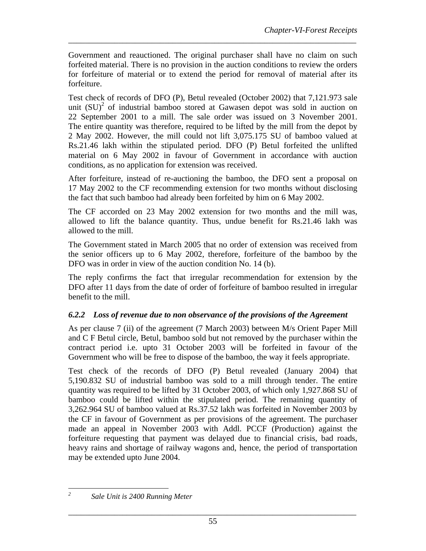Government and reauctioned. The original purchaser shall have no claim on such forfeited material. There is no provision in the auction conditions to review the orders for forfeiture of material or to extend the period for removal of material after its forfeiture.

\_\_\_\_\_\_\_\_\_\_\_\_\_\_\_\_\_\_\_\_\_\_\_\_\_\_\_\_\_\_\_\_\_\_\_\_\_\_\_\_\_\_\_\_\_\_\_\_\_\_\_\_\_\_\_\_\_\_\_\_\_\_\_\_\_\_\_\_\_

Test check of records of DFO (P), Betul revealed (October 2002) that 7,121.973 sale unit  $(SU)^2$  of industrial bamboo stored at Gawasen depot was sold in auction on 22 September 2001 to a mill. The sale order was issued on 3 November 2001. The entire quantity was therefore, required to be lifted by the mill from the depot by 2 May 2002. However, the mill could not lift 3,075.175 SU of bamboo valued at Rs.21.46 lakh within the stipulated period. DFO (P) Betul forfeited the unlifted material on 6 May 2002 in favour of Government in accordance with auction conditions, as no application for extension was received.

After forfeiture, instead of re-auctioning the bamboo, the DFO sent a proposal on 17 May 2002 to the CF recommending extension for two months without disclosing the fact that such bamboo had already been forfeited by him on 6 May 2002.

The CF accorded on 23 May 2002 extension for two months and the mill was, allowed to lift the balance quantity. Thus, undue benefit for Rs.21.46 lakh was allowed to the mill.

The Government stated in March 2005 that no order of extension was received from the senior officers up to 6 May 2002, therefore, forfeiture of the bamboo by the DFO was in order in view of the auction condition No. 14 (b).

The reply confirms the fact that irregular recommendation for extension by the DFO after 11 days from the date of order of forfeiture of bamboo resulted in irregular benefit to the mill.

### *6.2.2 Loss of revenue due to non observance of the provisions of the Agreement*

As per clause 7 (ii) of the agreement (7 March 2003) between M/s Orient Paper Mill and C F Betul circle, Betul, bamboo sold but not removed by the purchaser within the contract period i.e. upto 31 October 2003 will be forfeited in favour of the Government who will be free to dispose of the bamboo, the way it feels appropriate.

Test check of the records of DFO (P) Betul revealed (January 2004) that 5,190.832 SU of industrial bamboo was sold to a mill through tender. The entire quantity was required to be lifted by 31 October 2003, of which only 1,927.868 SU of bamboo could be lifted within the stipulated period. The remaining quantity of 3,262.964 SU of bamboo valued at Rs.37.52 lakh was forfeited in November 2003 by the CF in favour of Government as per provisions of the agreement. The purchaser made an appeal in November 2003 with Addl. PCCF (Production) against the forfeiture requesting that payment was delayed due to financial crisis, bad roads, heavy rains and shortage of railway wagons and, hence, the period of transportation may be extended upto June 2004.

 *2 Sale Unit is 2400 Running Meter*